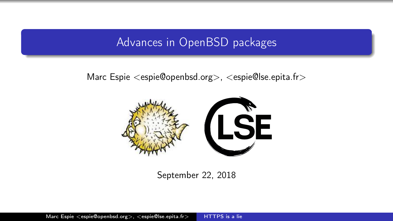# Advances in OpenBSD packages

# <span id="page-0-0"></span>Marc Espie <espie@openbsd.org>, <espie@lse.epita.fr>



## September 22, 2018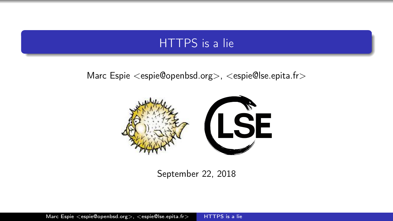# HTTPS is a lie

# Marc Espie <espie@openbsd.org>, <espie@lse.epita.fr>



### September 22, 2018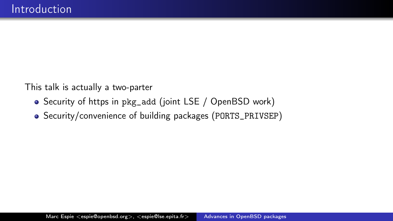This talk is actually a two-parter

- Security of https in pkg\_add (joint LSE / OpenBSD work)
- Security/convenience of building packages (PORTS\_PRIVSEP)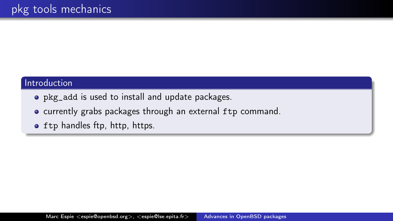#### Introduction

- pkg\_add is used to install and update packages.
- currently grabs packages through an external ftp command.
- **•** ftp handles ftp, http, https.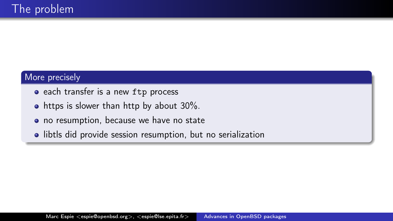#### More precisely

- each transfer is a new ftp process
- https is slower than http by about 30%.
- no resumption, because we have no state
- libtls did provide session resumption, but no serialization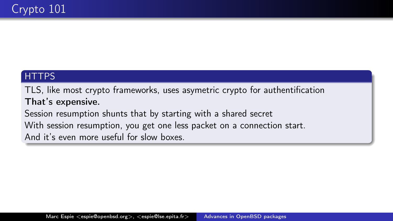# **HTTPS**

TLS, like most crypto frameworks, uses asymetric crypto for authentification That's expensive.

Session resumption shunts that by starting with a shared secret With session resumption, you get one less packet on a connection start. And it's even more useful for slow boxes.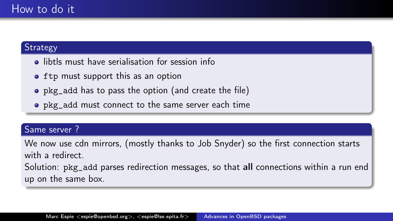## **Strategy**

- **o** libtls must have serialisation for session info
- ftp must support this as an option
- pkg\_add has to pass the option (and create the file)
- pkg\_add must connect to the same server each time

#### Same server ?

We now use cdn mirrors, (mostly thanks to Job Snyder) so the first connection starts with a redirect.

Solution: pkg\_add parses redirection messages, so that all connections within a run end up on the same box.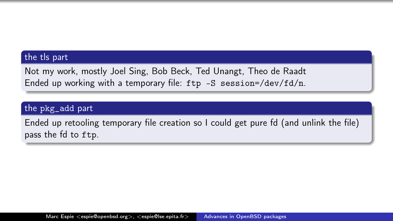#### the tls part

Not my work, mostly Joel Sing, Bob Beck, Ted Unangt, Theo de Raadt Ended up working with a temporary file:  $ftp -S$  session=/dev/ $fd/n$ .

#### the pkg\_add part

Ended up retooling temporary file creation so I could get pure fd (and unlink the file) pass the fd to ftp.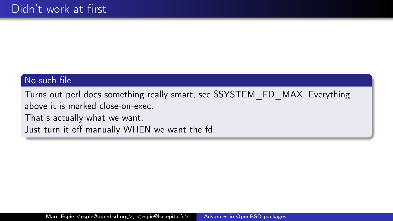## No such file

Turns out perl does something really smart, see \$SYSTEM\_FD\_MAX. Everything above it is marked close-on-exec.

That's actually what we want.

Just turn it off manually WHEN we want the fd.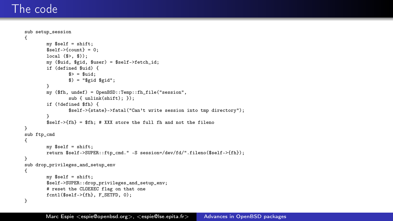# The code

```
sub setup_session
{
        my $self = shift;
        $self->fcount} = 0;
        local (<math>3</math>, <math>3</math>);
        my ($uid, $gid, $user) = $self->fetch_id;
        if (defined $uid) {
                s = suid:
                $) = "$gid $gid";}
        my ($fh, undef) = OpenBSD::Temp::fh_file("session",
                sub { unlink(shift); });
        if (!defined $fh) {
                $self->{state}->fatal("Can't write session into tmp directory");
        }
        $self->{fh} = $fh; # XXX store the full fh and not the fileno
}
sub ftp_cmd
{
        my $self = shift;
        return $self->SUPER::ftp_cmd." -S session=/dev/fd/".fileno($self->{fh});
}
sub drop_privileges_and_setup_env
{
        mv $self = shift:
        $self->SUPER::drop_privileges_and_setup_env;
        # reset the CLOEXEC flag on that one
        fcntl($self->{fh}, F_SETFD, 0);
}
```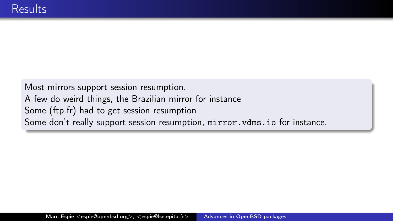Most mirrors support session resumption. A few do weird things, the Brazilian mirror for instance Some (ftp.fr) had to get session resumption Some don't really support session resumption, mirror. vdms. io for instance.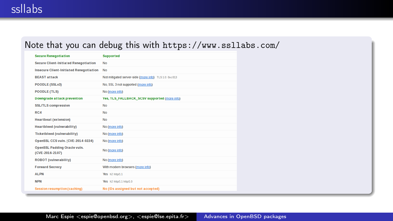### Note that you can debug this with https://www.ssllabs.com/

| <b>Secure Renegotiation</b>                            | <b>Supported</b>                                    |
|--------------------------------------------------------|-----------------------------------------------------|
| <b>Secure Client-Initiated Renegotiation</b>           | No                                                  |
| <b>Insecure Client-Initiated Renegotiation</b>         | <b>No</b>                                           |
| <b>BEAST attack</b>                                    | Not mitigated server-side (more info) TLS10: 0xc013 |
| POODLE (SSLv3)                                         | No, SSL 3 not supported (more info)                 |
| <b>POODLE (TLS)</b>                                    | No (more info)                                      |
| <b>Downgrade attack prevention</b>                     | Yes, TLS FALLBACK SCSV supported (more info)        |
| <b>SSL/TLS compression</b>                             | <b>No</b>                                           |
| RC4                                                    | No                                                  |
| <b>Heartbeat (extension)</b>                           | No                                                  |
| <b>Heartbleed (vulnerability)</b>                      | No (more info)                                      |
| <b>Ticketbleed (vulnerability)</b>                     | No (more info)                                      |
| OpenSSL CCS vuln. (CVE-2014-0224)                      | No (more info)                                      |
| <b>OpenSSL Padding Oracle vuln.</b><br>(CVE-2016-2107) | No (more info)                                      |
| <b>ROBOT</b> (vulnerability)                           | No (more info)                                      |
| <b>Forward Secrecy</b>                                 | With modern browsers (more info)                    |
| <b>ALPN</b>                                            | Yes h2 http/1.1                                     |
| <b>NPN</b>                                             | Yes h2 http/1.1 http/1.0                            |
| <b>Session resumption (caching)</b>                    | No (IDs assigned but not accepted)                  |
|                                                        |                                                     |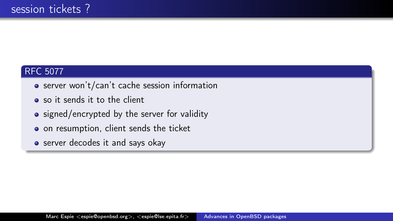## RFC 5077

- server won't/can't cache session information
- so it sends it to the client
- signed/encrypted by the server for validity
- o on resumption, client sends the ticket
- server decodes it and says okay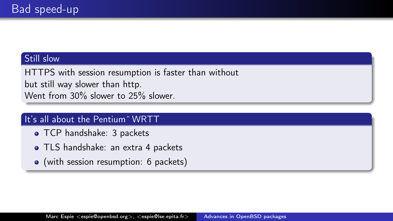#### Still slow

HTTPS with session resumption is faster than without but still way slower than http. Went from 30% slower to 25% slower.

## It's all about the Pentium<sup> $\sim$ </sup> WRTT

- **TCP handshake: 3 packets**
- **TLS** handshake: an extra 4 packets
- (with session resumption: 6 packets)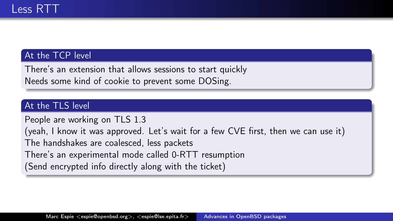### At the TCP level

There's an extension that allows sessions to start quickly Needs some kind of cookie to prevent some DOSing.

## At the TLS level

People are working on TLS 1.3

(yeah, I know it was approved. Let's wait for a few CVE first, then we can use it)

The handshakes are coalesced, less packets

There's an experimental mode called 0-RTT resumption

(Send encrypted info directly along with the ticket)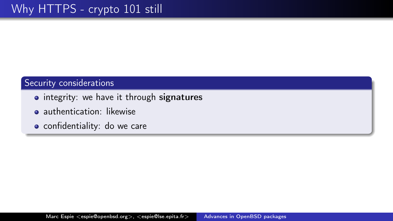### Security considerations

- integrity: we have it through signatures
- **a** authentication: likewise
- confidentiality: do we care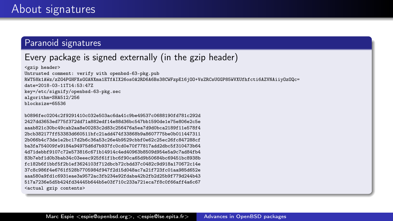#### Paranoid signatures

## Every package is signed externally (in the gzip header)

<gzip header> Untrusted comment: verify with openbsd-63-pkg.pub RWT58k1AWz/zZG4PGHFXsGGANXma1ETfAIX26os0A2RD6A6Bs38CWFzpE16jOO+VsZRCsUGGP85WVXUfhfcti6AZVNAiiyOzOQc= date=2018-03-11T14:53:47Z key=/etc/signify/openbsd-63-pkg.sec algorithm=SHA512/256 blocksize=65536

b0896fec0204c2f9291410c032e503ac6da41c9be49537c0688190fd781c292d 2427dd3653ed775f372dd71a882edf14e88d36bc547bb1590de1e75e806e2c5e aaab821c30bc49cab2aa8e00283c2d83c256476a5ea7d9d0bca2189f11e578f4 2bcb382177ff53383d660511bfc21add474f33868b9a8607775be0b011447311 2b066b4c73de1e2bc17d2b6c36a53c26e4b9529cbbf0e62c25ec26fc847288cf ba3fa754009fe9184a94975d6d7b937fc0cd0e70f77817add2dbc5f310473b64 4d71debbf9107c72e573816c671b14914c4ed40963b8509d954e5a9c7ad84fb4 83b7ebf1d0b3bab34c03eeec925f61f1bc6f90ca65d9b50684bc69451bc8938b fc182b6f1bbf5f2b1ef3624103f712dbcb72cbdd37c0482c9d918a170672c14e 37c8c986f4e6761f528b7705984f947f2d15d048ac7a21f723fc01aa985d652e aaa580a9fd1c6931eae3a9572ac3fb234e92fdaba42b2fb2d25b9f779d244b43 517a7236e5d5b424fd34445b644b5e03f710c233a721eca7f8c0f66aff4a6c67 <actual gzip contents>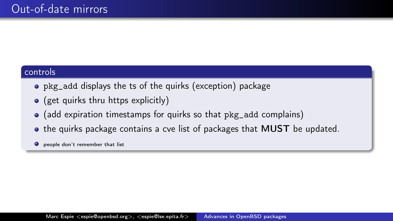#### controls

- pkg\_add displays the ts of the quirks (exception) package
- $\bullet$  (get quirks thru https explicitly)
- (add expiration timestamps for quirks so that pkg\_add complains)
- the quirks package contains a cve list of packages that **MUST** be updated.
- $\bullet$  people don't remember that list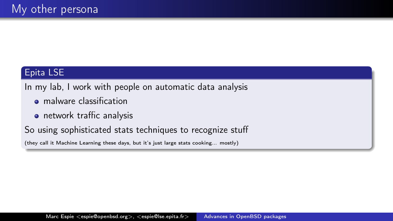## Epita LSE

In my lab, I work with people on automatic data analysis

- **•** malware classification
- **•** network traffic analysis

So using sophisticated stats techniques to recognize stuff

(they call it Machine Learning these days, but it's just large stats cooking... mostly)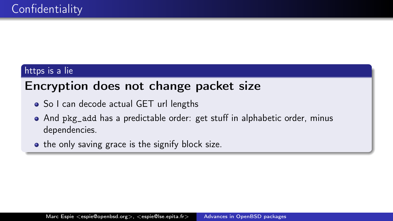# https is a lie

# Encryption does not change packet size

- So I can decode actual GET url lengths
- And pkg\_add has a predictable order: get stuff in alphabetic order, minus dependencies.
- the only saving grace is the signify block size.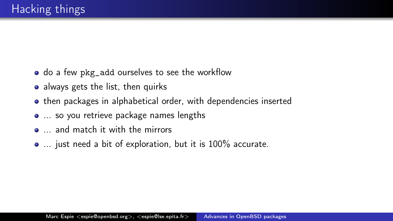- do a few pkg\_add ourselves to see the workflow
- always gets the list, then quirks
- then packages in alphabetical order, with dependencies inserted
- ... so you retrieve package names lengths
- $\bullet$  ... and match it with the mirrors
- ... just need a bit of exploration, but it is 100% accurate.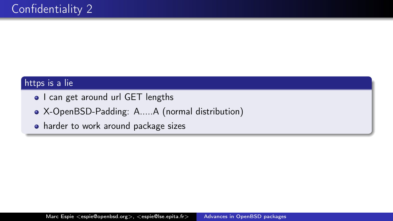### https is a lie

- I can get around url GET lengths
- X-OpenBSD-Padding: A.....A (normal distribution)
- harder to work around package sizes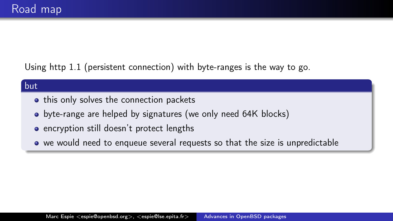Using http 1.1 (persistent connection) with byte-ranges is the way to go.

#### but

- this only solves the connection packets
- byte-range are helped by signatures (we only need 64K blocks)
- encryption still doesn't protect lengths
- we would need to enqueue several requests so that the size is unpredictable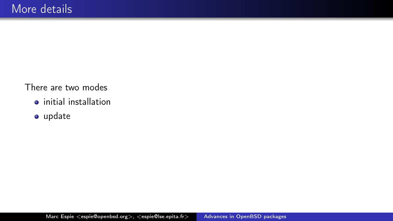There are two modes

- $\bullet$  initial installation
- update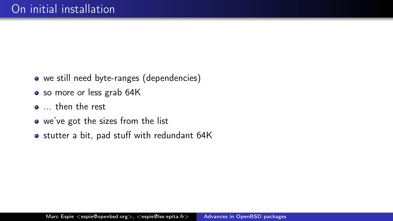- we still need byte-ranges (dependencies)
- so more or less grab 64K
- ... then the rest
- we've got the sizes from the list
- stutter a bit, pad stuff with redundant 64K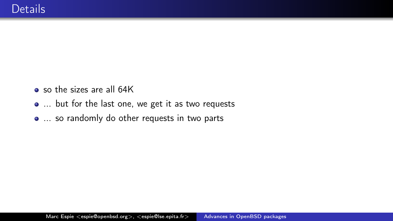- so the sizes are all 64K
- ... but for the last one, we get it as two requests
- ... so randomly do other requests in two parts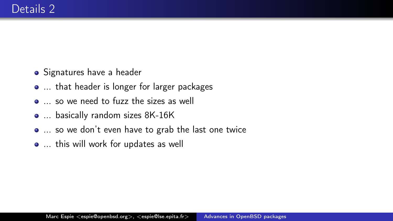- **•** Signatures have a header
- ... that header is longer for larger packages
- ... so we need to fuzz the sizes as well
- ... basically random sizes 8K-16K
- ... so we don't even have to grab the last one twice
- ... this will work for updates as well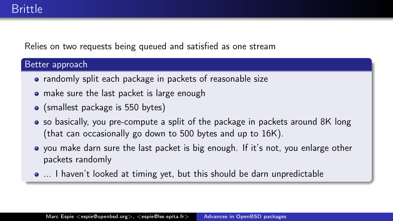Relies on two requests being queued and satisfied as one stream

#### Better approach

- randomly split each package in packets of reasonable size
- make sure the last packet is large enough
- (smallest package is 550 bytes)
- so basically, you pre-compute a split of the package in packets around 8K long (that can occasionally go down to 500 bytes and up to 16K).
- you make darn sure the last packet is big enough. If it's not, you enlarge other packets randomly
- ... I haven't looked at timing yet, but this should be darn unpredictable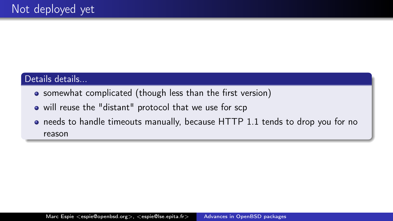## Details details...

- somewhat complicated (though less than the first version)
- will reuse the "distant" protocol that we use for scp
- needs to handle timeouts manually, because HTTP 1.1 tends to drop you for no reason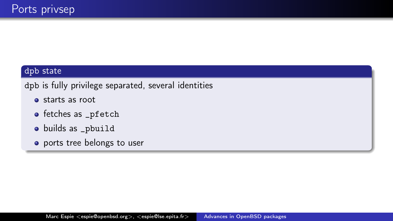#### dpb state

dpb is fully privilege separated, several identities

- starts as root
- fetches as \_pfetch
- builds as \_pbuild
- ports tree belongs to user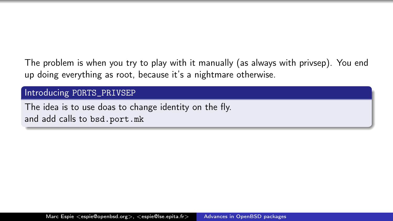The problem is when you try to play with it manually (as always with privsep). You end up doing everything as root, because it's a nightmare otherwise.

#### Introducing PORTS\_PRIVSEP

The idea is to use doas to change identity on the fly. and add calls to bsd.port.mk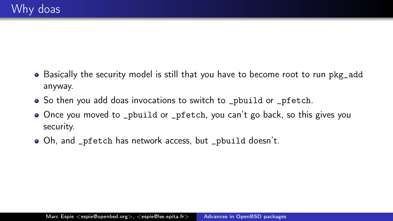- Basically the security model is still that you have to become root to run pkg\_add anyway.
- So then you add doas invocations to switch to pobuild or pfetch.
- Once you moved to \_pbuild or \_pfetch, you can't go back, so this gives you security.
- Oh, and \_pfetch has network access, but \_pbuild doesn't.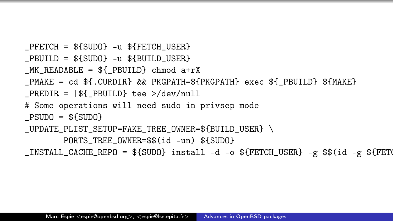```
PFETCH = ${SUDO} -u ${FETCH \_}USEPBUILD = $fSUBO} -u $fBUILD USER}MK READABLE = ${ PBUILD} chmod a+rX
PMAKE = cd ${.CURDIR} && PKGPATH=${PKGPATH} exec ${ PBUILD} ${MAKE}
PREDIR = | $ PBUILD} tee >/dev/null
# Some operations will need sudo in privsep mode
PSUDD = $fSUDO_UPDATE_PLIST_SETUP=FAKE_TREE_OWNER=${BUILD_USER} \
       PORTS TREE OWNER=$$(id -un) ${SUDO}
_INSTALL_CACHE_REPO = ${SUDO} install -d -o ${FETCH_USER} -g $$(id -g ${FETO
```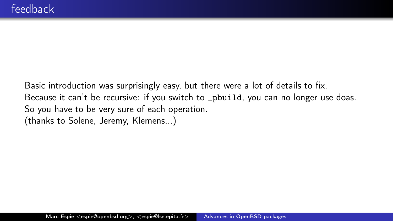Basic introduction was surprisingly easy, but there were a lot of details to fix. Because it can't be recursive: if you switch to \_pbuild, you can no longer use doas. So you have to be very sure of each operation. (thanks to Solene, Jeremy, Klemens...)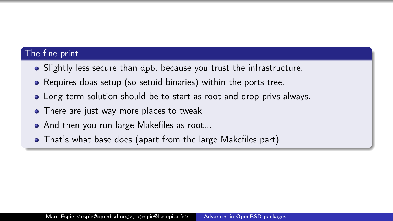#### The fine print

- Slightly less secure than dpb, because you trust the infrastructure.
- Requires doas setup (so setuid binaries) within the ports tree.
- Long term solution should be to start as root and drop privs always.
- There are just way more places to tweak
- And then you run large Makefiles as root...
- That's what base does (apart from the large Makefiles part)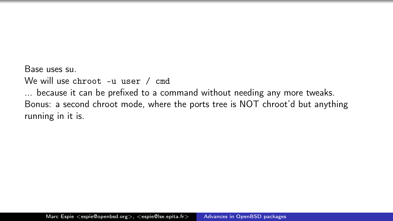Base uses su.

We will use chroot -u user / cmd

... because it can be prefixed to a command without needing any more tweaks. Bonus: a second chroot mode, where the ports tree is NOT chroot'd but anything running in it is.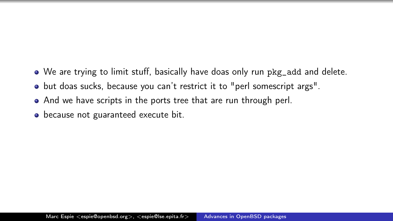- We are trying to limit stuff, basically have doas only run pkg\_add and delete.
- but doas sucks, because you can't restrict it to "perl somescript args".
- And we have scripts in the ports tree that are run through perl.
- because not guaranteed execute bit.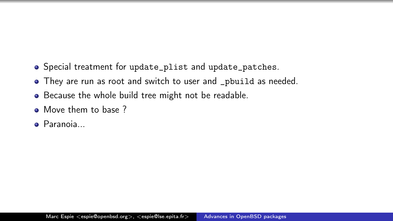- Special treatment for update\_plist and update\_patches.
- They are run as root and switch to user and \_pbuild as needed.
- Because the whole build tree might not be readable.
- Move them to base ?
- **•** Paranoia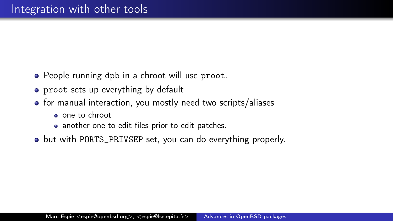- People running dpb in a chroot will use proot.
- proot sets up everything by default
- for manual interaction, you mostly need two scripts/aliases
	- one to chroot
	- another one to edit files prior to edit patches.
- but with PORTS\_PRIVSEP set, you can do everything properly.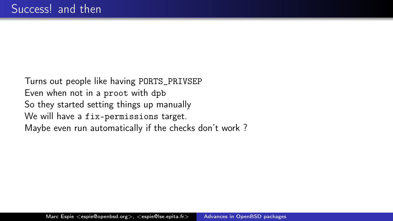<span id="page-39-0"></span>Turns out people like having PORTS\_PRIVSEP Even when not in a proot with dpb So they started setting things up manually We will have a fix-permissions target. Maybe even run automatically if the checks don't work ?